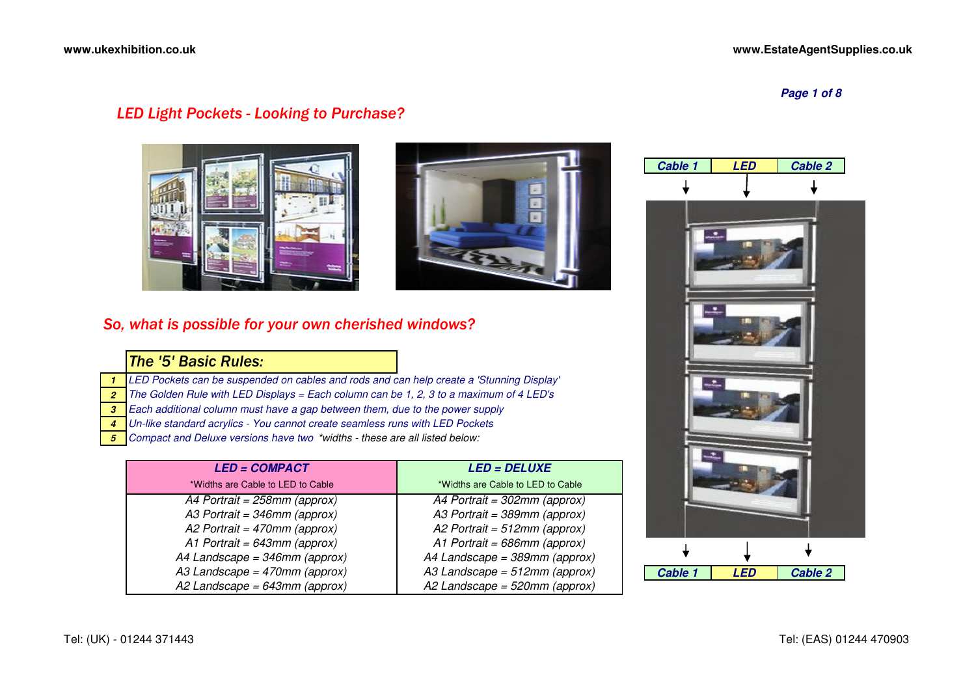**Page 1 of 8**

## *LED Light Pockets - Looking to Purchase?*





## *So, what is possible for your own cherished windows?*

# *The '5' Basic Rules:*

- **1**LED Pockets can be suspended on cables and rods and can help create a 'Stunning Display'
- **2**The Golden Rule with LED Displays = Each column can be 1, 2, 3 to a maximum of 4 LED's
- **3**Each additional column must have a gap between them, due to the power supply
- **4**Un-like standard acrylics - You cannot create seamless runs with LED Pockets
- **5**Compact and Deluxe versions have two \*widths - these are all listed below:

| <b>LED = COMPACT</b>              | <b>LED = DELUXE</b>               |  |
|-----------------------------------|-----------------------------------|--|
| *Widths are Cable to LED to Cable | *Widths are Cable to LED to Cable |  |
| A4 Portrait = $258$ mm (approx)   | A4 Portrait = $302$ mm (approx)   |  |
| A3 Portrait = $346$ mm (approx)   | A3 Portrait = 389mm (approx)      |  |
| A2 Portrait = $470$ mm (approx)   | A2 Portrait = $512$ mm (approx)   |  |
| A1 Portrait = $643$ mm (approx)   | A1 Portrait = $686$ mm (approx)   |  |
| A4 Landscape = $346$ mm (approx)  | A4 Landscape = 389mm (approx)     |  |
| A3 Landscape = $470$ mm (approx)  | A3 Landscape = $512$ mm (approx)  |  |
| A2 Landscape = 643mm (approx)     | A2 Landscape = $520$ mm (approx)  |  |

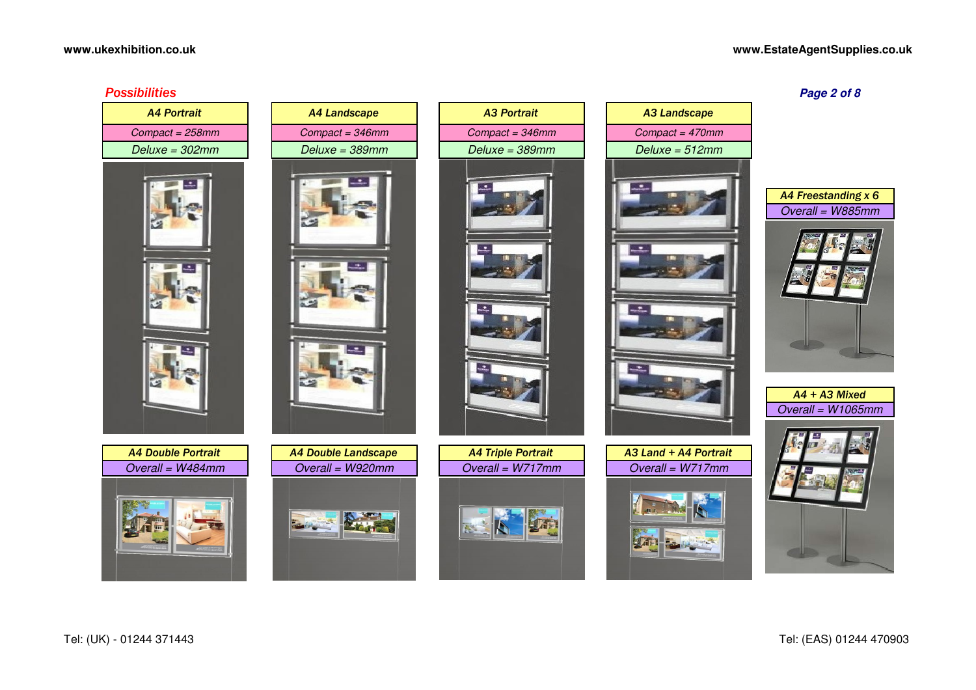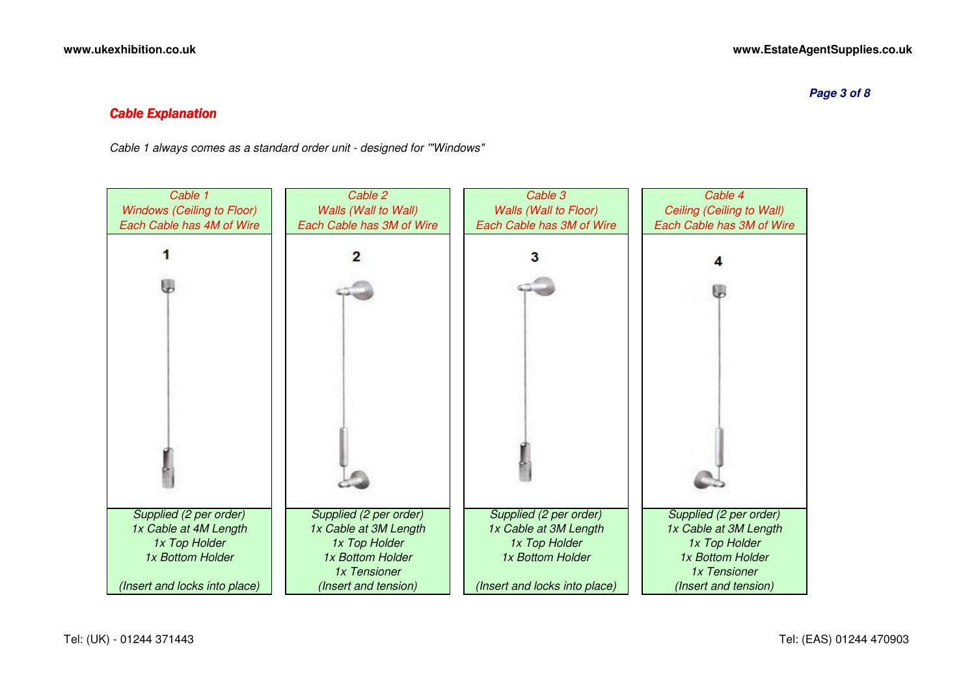**Page 3 of 8**

### *Cable Explanation*

Cable 1 always comes as a standard order unit - designed for '"Windows"

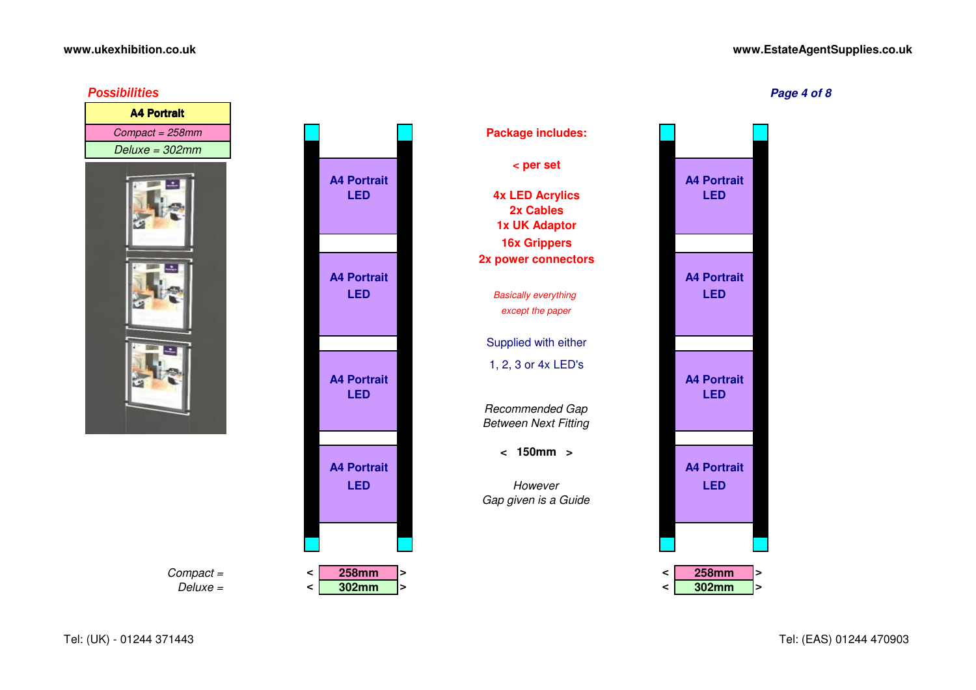#### **www.EstateAgentSupplies.co.uk**









**A4 Portrait**

**A4 Portrait**

**A4 Portrait**

**A4 Portrait**

Deluxe = **<**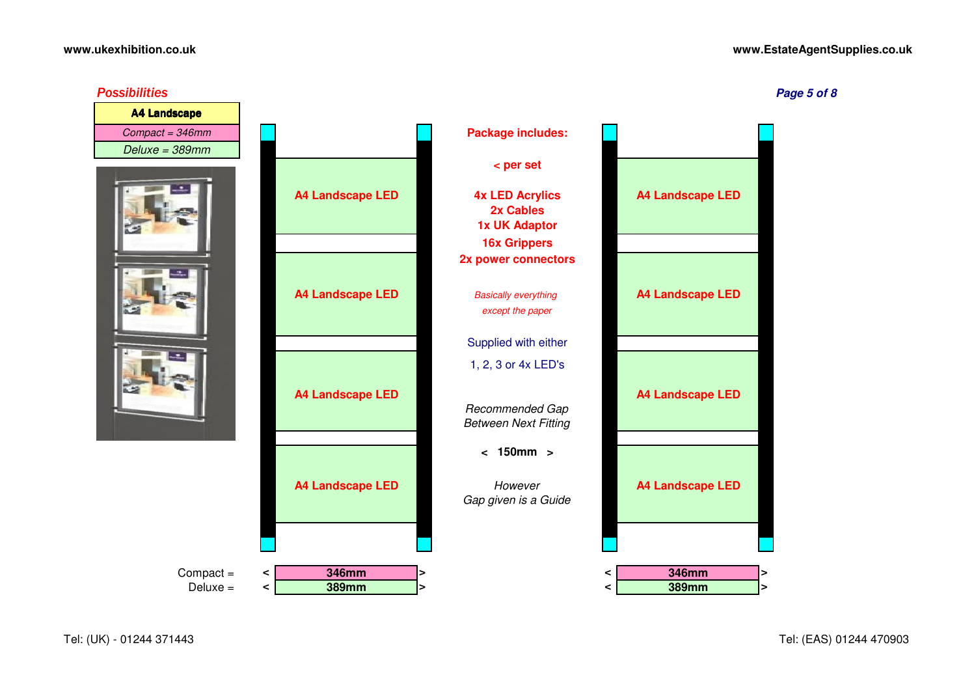#### **www.EstateAgentSupplies.co.uk**



Tel: (UK) - 01244 371443

Tel: (EAS) 01244 470903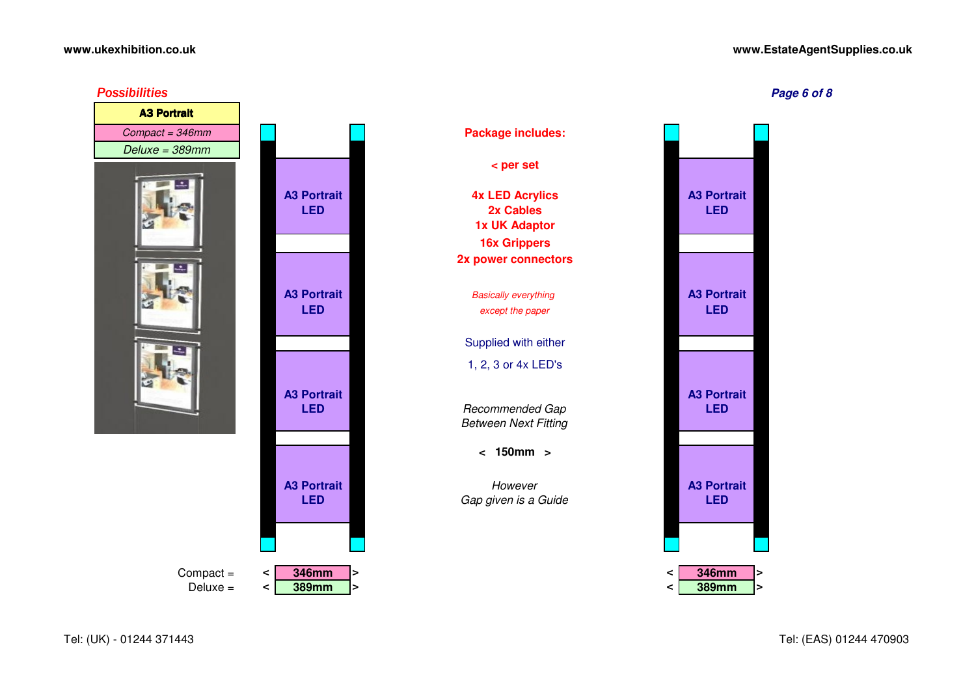#### **www.ukexhibition.co.uk**

#### **www.EstateAgentSupplies.co.uk**



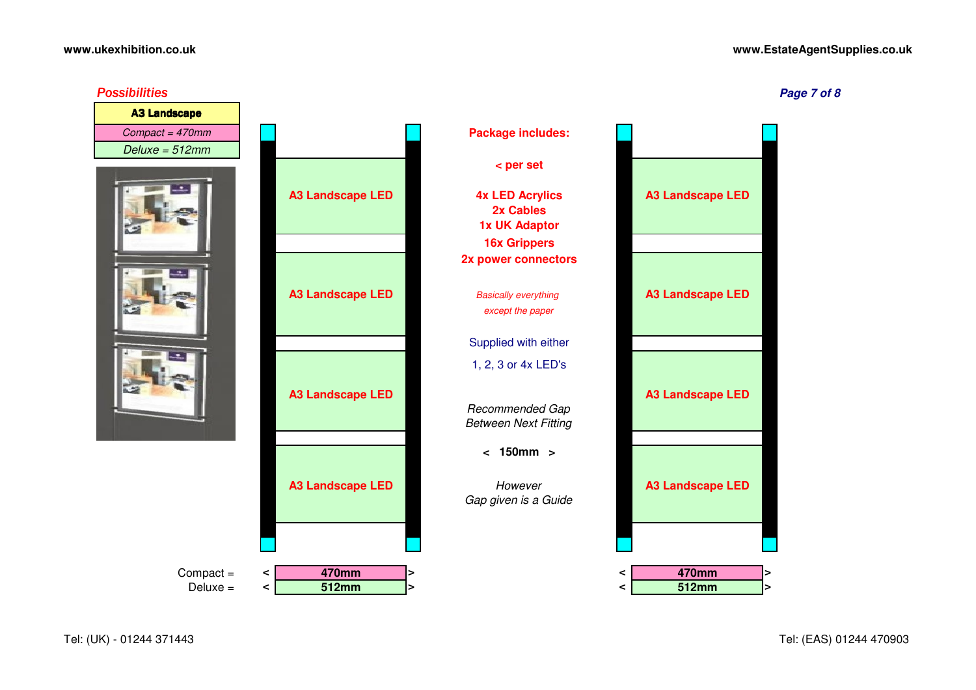#### **www.EstateAgentSupplies.co.uk**

*Possibilities*